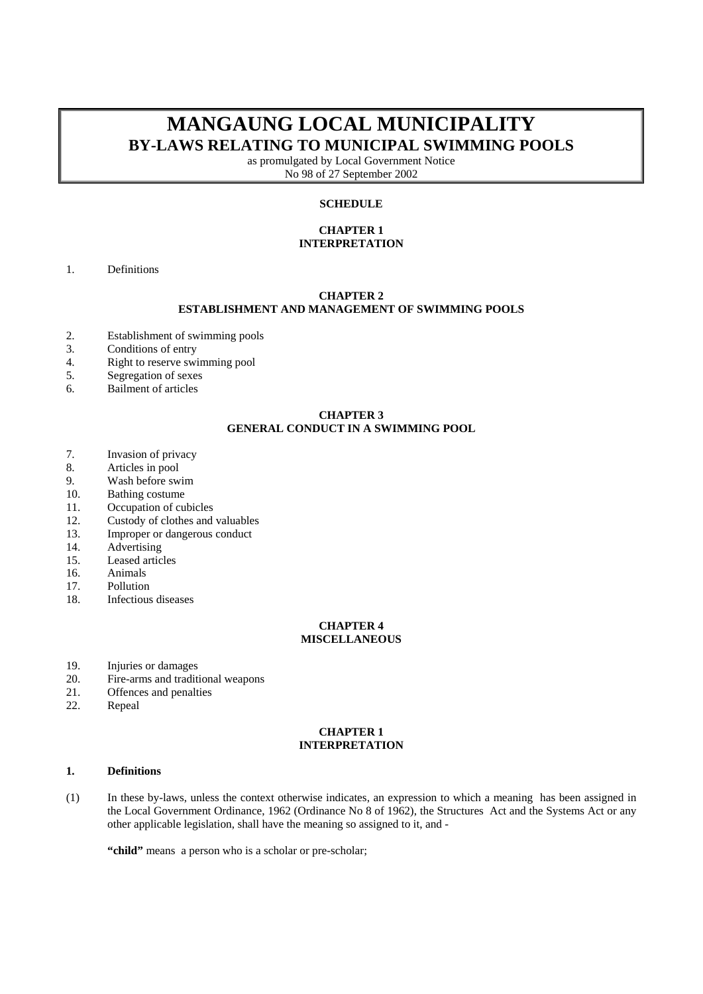# **MANGAUNG LOCAL MUNICIPALITY BY-LAWS RELATING TO MUNICIPAL SWIMMING POOLS**

as promulgated by Local Government Notice No 98 of 27 September 2002

# **SCHEDULE**

## **CHAPTER 1 INTERPRETATION**

1. Definitions

### **CHAPTER 2 ESTABLISHMENT AND MANAGEMENT OF SWIMMING POOLS**

- 2. Establishment of swimming pools
- 3. Conditions of entry<br>4. Right to reserve swi
- 4. Right to reserve swimming pool<br>5. Segregation of sexes
- Segregation of sexes
- 6. Bailment of articles

## **CHAPTER 3 GENERAL CONDUCT IN A SWIMMING POOL**

- 7. Invasion of privacy
- 8. Articles in pool
- 9. Wash before swim
- 10. Bathing costume
- 11. Occupation of cubicles
- 12. Custody of clothes and valuables
- 13. Improper or dangerous conduct
- 14. Advertising
- 15. Leased articles
- 16. Animals
- 17. Pollution
- 18. Infectious diseases

### **CHAPTER 4 MISCELLANEOUS**

- 19. Injuries or damages
- 20. Fire-arms and traditional weapons
- 21. Offences and penalties
- 22. Repeal

#### **CHAPTER 1 INTERPRETATION**

#### **1. Definitions**

(1) In these by-laws, unless the context otherwise indicates, an expression to which a meaning has been assigned in the Local Government Ordinance, 1962 (Ordinance No 8 of 1962), the Structures Act and the Systems Act or any other applicable legislation, shall have the meaning so assigned to it, and -

"child" means a person who is a scholar or pre-scholar;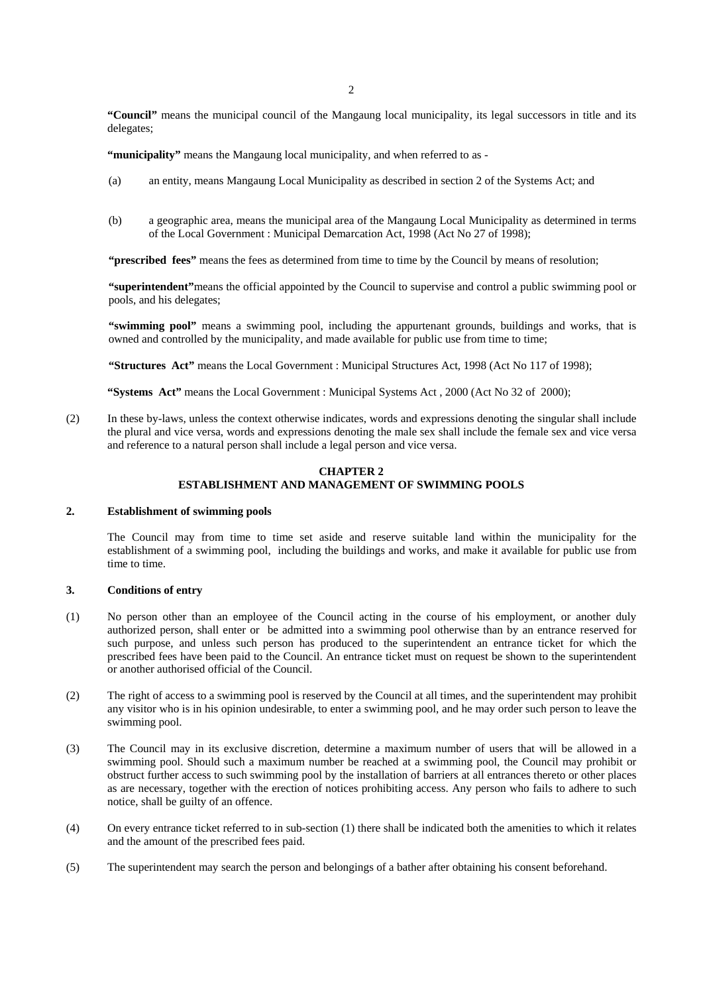**"Council"** means the municipal council of the Mangaung local municipality, its legal successors in title and its delegates;

**"municipality"** means the Mangaung local municipality, and when referred to as -

- (a) an entity, means Mangaung Local Municipality as described in section 2 of the Systems Act; and
- (b) a geographic area, means the municipal area of the Mangaung Local Municipality as determined in terms of the Local Government : Municipal Demarcation Act, 1998 (Act No 27 of 1998);

**"prescribed fees"** means the fees as determined from time to time by the Council by means of resolution;

**"superintendent"**means the official appointed by the Council to supervise and control a public swimming pool or pools, and his delegates;

**"swimming pool"** means a swimming pool, including the appurtenant grounds, buildings and works, that is owned and controlled by the municipality, and made available for public use from time to time;

**"Structures Act"** means the Local Government : Municipal Structures Act, 1998 (Act No 117 of 1998);

**"Systems Act"** means the Local Government : Municipal Systems Act , 2000 (Act No 32 of 2000);

(2) In these by-laws, unless the context otherwise indicates, words and expressions denoting the singular shall include the plural and vice versa, words and expressions denoting the male sex shall include the female sex and vice versa and reference to a natural person shall include a legal person and vice versa.

## **CHAPTER 2 ESTABLISHMENT AND MANAGEMENT OF SWIMMING POOLS**

## **2. Establishment of swimming pools**

The Council may from time to time set aside and reserve suitable land within the municipality for the establishment of a swimming pool, including the buildings and works, and make it available for public use from time to time.

## **3. Conditions of entry**

- (1) No person other than an employee of the Council acting in the course of his employment, or another duly authorized person, shall enter or be admitted into a swimming pool otherwise than by an entrance reserved for such purpose, and unless such person has produced to the superintendent an entrance ticket for which the prescribed fees have been paid to the Council. An entrance ticket must on request be shown to the superintendent or another authorised official of the Council.
- (2) The right of access to a swimming pool is reserved by the Council at all times, and the superintendent may prohibit any visitor who is in his opinion undesirable, to enter a swimming pool, and he may order such person to leave the swimming pool.
- (3) The Council may in its exclusive discretion, determine a maximum number of users that will be allowed in a swimming pool. Should such a maximum number be reached at a swimming pool, the Council may prohibit or obstruct further access to such swimming pool by the installation of barriers at all entrances thereto or other places as are necessary, together with the erection of notices prohibiting access. Any person who fails to adhere to such notice, shall be guilty of an offence.
- (4) On every entrance ticket referred to in sub-section (1) there shall be indicated both the amenities to which it relates and the amount of the prescribed fees paid.
- (5) The superintendent may search the person and belongings of a bather after obtaining his consent beforehand.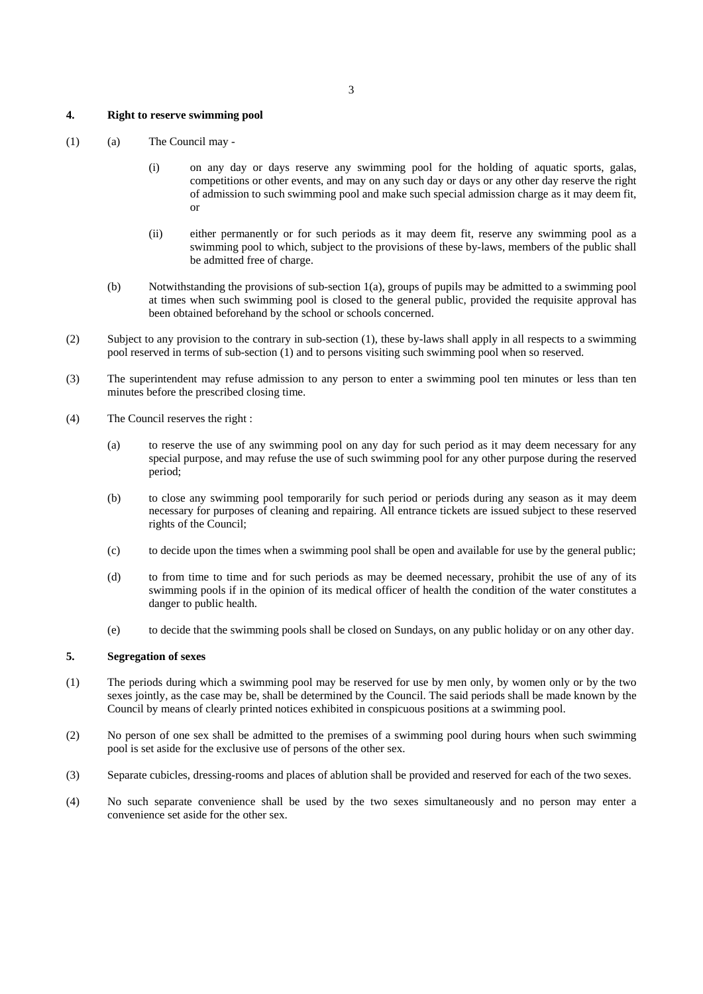## **4. Right to reserve swimming pool**

- (1) (a) The Council may
	- (i) on any day or days reserve any swimming pool for the holding of aquatic sports, galas, competitions or other events, and may on any such day or days or any other day reserve the right of admission to such swimming pool and make such special admission charge as it may deem fit, or
	- (ii) either permanently or for such periods as it may deem fit, reserve any swimming pool as a swimming pool to which, subject to the provisions of these by-laws, members of the public shall be admitted free of charge.
	- (b) Notwithstanding the provisions of sub-section 1(a), groups of pupils may be admitted to a swimming pool at times when such swimming pool is closed to the general public, provided the requisite approval has been obtained beforehand by the school or schools concerned.
- (2) Subject to any provision to the contrary in sub-section (1), these by-laws shall apply in all respects to a swimming pool reserved in terms of sub-section (1) and to persons visiting such swimming pool when so reserved.
- (3) The superintendent may refuse admission to any person to enter a swimming pool ten minutes or less than ten minutes before the prescribed closing time.
- (4) The Council reserves the right :
	- (a) to reserve the use of any swimming pool on any day for such period as it may deem necessary for any special purpose, and may refuse the use of such swimming pool for any other purpose during the reserved period;
	- (b) to close any swimming pool temporarily for such period or periods during any season as it may deem necessary for purposes of cleaning and repairing. All entrance tickets are issued subject to these reserved rights of the Council;
	- (c) to decide upon the times when a swimming pool shall be open and available for use by the general public;
	- (d) to from time to time and for such periods as may be deemed necessary, prohibit the use of any of its swimming pools if in the opinion of its medical officer of health the condition of the water constitutes a danger to public health.
	- (e) to decide that the swimming pools shall be closed on Sundays, on any public holiday or on any other day.

#### **5. Segregation of sexes**

- (1) The periods during which a swimming pool may be reserved for use by men only, by women only or by the two sexes jointly, as the case may be, shall be determined by the Council. The said periods shall be made known by the Council by means of clearly printed notices exhibited in conspicuous positions at a swimming pool.
- (2) No person of one sex shall be admitted to the premises of a swimming pool during hours when such swimming pool is set aside for the exclusive use of persons of the other sex.
- (3) Separate cubicles, dressing-rooms and places of ablution shall be provided and reserved for each of the two sexes.
- (4) No such separate convenience shall be used by the two sexes simultaneously and no person may enter a convenience set aside for the other sex.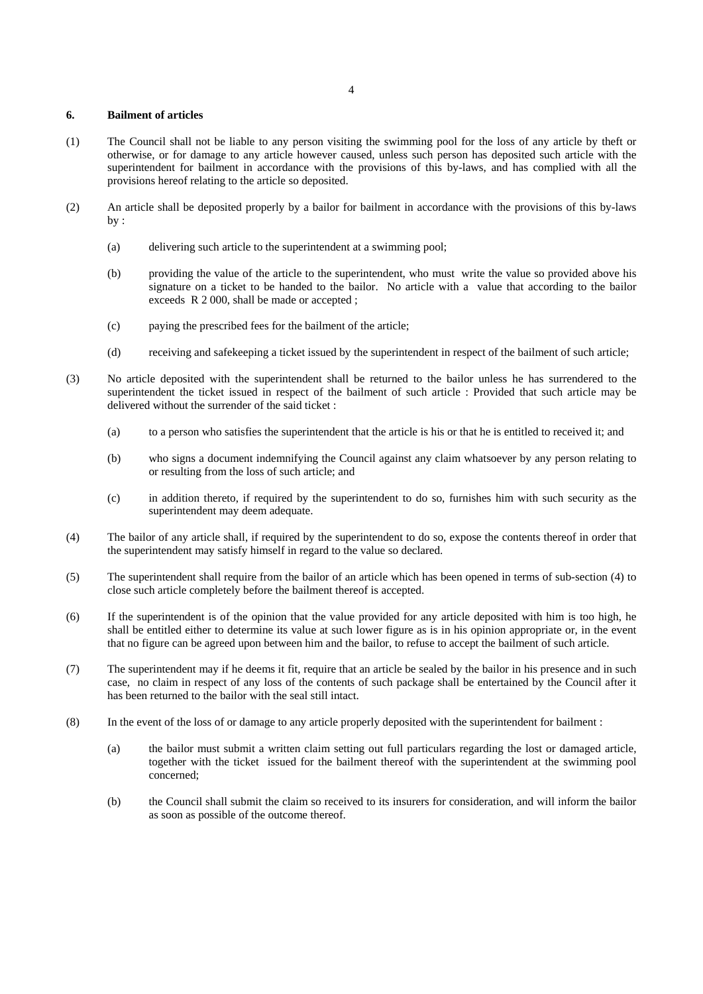# **6. Bailment of articles**

- (1) The Council shall not be liable to any person visiting the swimming pool for the loss of any article by theft or otherwise, or for damage to any article however caused, unless such person has deposited such article with the superintendent for bailment in accordance with the provisions of this by-laws, and has complied with all the provisions hereof relating to the article so deposited.
- (2) An article shall be deposited properly by a bailor for bailment in accordance with the provisions of this by-laws by :
	- (a) delivering such article to the superintendent at a swimming pool;
	- (b) providing the value of the article to the superintendent, who must write the value so provided above his signature on a ticket to be handed to the bailor. No article with a value that according to the bailor exceeds R 2 000, shall be made or accepted ;
	- (c) paying the prescribed fees for the bailment of the article;
	- (d) receiving and safekeeping a ticket issued by the superintendent in respect of the bailment of such article;
- (3) No article deposited with the superintendent shall be returned to the bailor unless he has surrendered to the superintendent the ticket issued in respect of the bailment of such article : Provided that such article may be delivered without the surrender of the said ticket :
	- (a) to a person who satisfies the superintendent that the article is his or that he is entitled to received it; and
	- (b) who signs a document indemnifying the Council against any claim whatsoever by any person relating to or resulting from the loss of such article; and
	- (c) in addition thereto, if required by the superintendent to do so, furnishes him with such security as the superintendent may deem adequate.
- (4) The bailor of any article shall, if required by the superintendent to do so, expose the contents thereof in order that the superintendent may satisfy himself in regard to the value so declared.
- (5) The superintendent shall require from the bailor of an article which has been opened in terms of sub-section (4) to close such article completely before the bailment thereof is accepted.
- (6) If the superintendent is of the opinion that the value provided for any article deposited with him is too high, he shall be entitled either to determine its value at such lower figure as is in his opinion appropriate or, in the event that no figure can be agreed upon between him and the bailor, to refuse to accept the bailment of such article.
- (7) The superintendent may if he deems it fit, require that an article be sealed by the bailor in his presence and in such case, no claim in respect of any loss of the contents of such package shall be entertained by the Council after it has been returned to the bailor with the seal still intact.
- (8) In the event of the loss of or damage to any article properly deposited with the superintendent for bailment :
	- (a) the bailor must submit a written claim setting out full particulars regarding the lost or damaged article, together with the ticket issued for the bailment thereof with the superintendent at the swimming pool concerned;
	- (b) the Council shall submit the claim so received to its insurers for consideration, and will inform the bailor as soon as possible of the outcome thereof.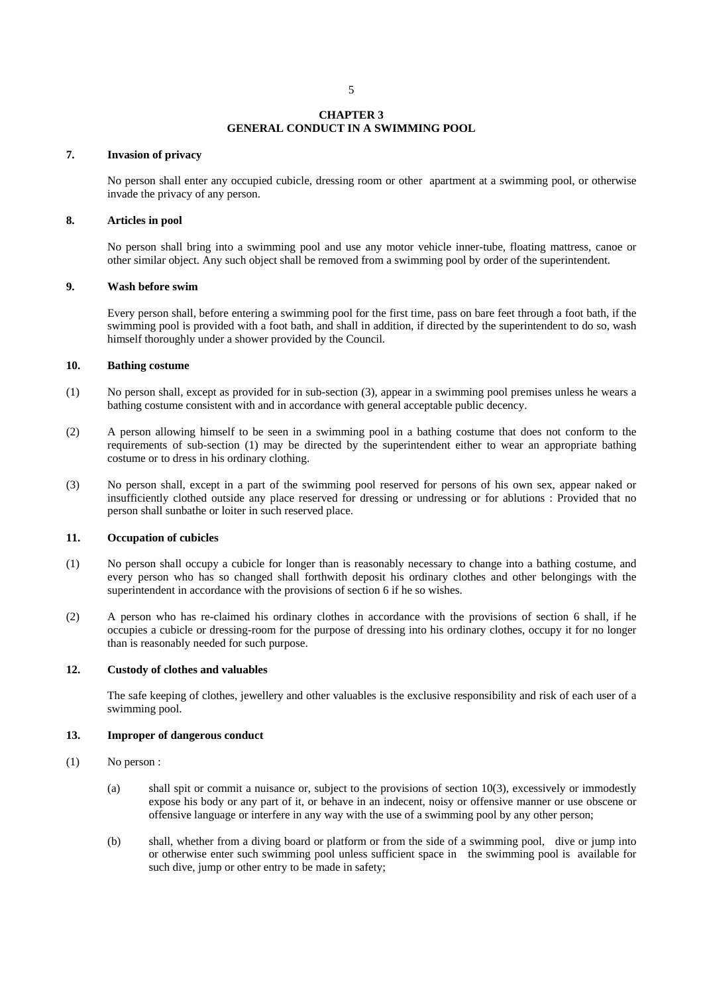#### **CHAPTER 3 GENERAL CONDUCT IN A SWIMMING POOL**

## **7. Invasion of privacy**

No person shall enter any occupied cubicle, dressing room or other apartment at a swimming pool, or otherwise invade the privacy of any person.

#### **8. Articles in pool**

No person shall bring into a swimming pool and use any motor vehicle inner-tube, floating mattress, canoe or other similar object. Any such object shall be removed from a swimming pool by order of the superintendent.

#### **9. Wash before swim**

Every person shall, before entering a swimming pool for the first time, pass on bare feet through a foot bath, if the swimming pool is provided with a foot bath, and shall in addition, if directed by the superintendent to do so, wash himself thoroughly under a shower provided by the Council.

## **10. Bathing costume**

- (1) No person shall, except as provided for in sub-section (3), appear in a swimming pool premises unless he wears a bathing costume consistent with and in accordance with general acceptable public decency.
- (2) A person allowing himself to be seen in a swimming pool in a bathing costume that does not conform to the requirements of sub-section (1) may be directed by the superintendent either to wear an appropriate bathing costume or to dress in his ordinary clothing.
- (3) No person shall, except in a part of the swimming pool reserved for persons of his own sex, appear naked or insufficiently clothed outside any place reserved for dressing or undressing or for ablutions : Provided that no person shall sunbathe or loiter in such reserved place.

#### **11. Occupation of cubicles**

- (1) No person shall occupy a cubicle for longer than is reasonably necessary to change into a bathing costume, and every person who has so changed shall forthwith deposit his ordinary clothes and other belongings with the superintendent in accordance with the provisions of section 6 if he so wishes.
- (2) A person who has re-claimed his ordinary clothes in accordance with the provisions of section 6 shall, if he occupies a cubicle or dressing-room for the purpose of dressing into his ordinary clothes, occupy it for no longer than is reasonably needed for such purpose.

#### **12. Custody of clothes and valuables**

The safe keeping of clothes, jewellery and other valuables is the exclusive responsibility and risk of each user of a swimming pool.

#### **13. Improper of dangerous conduct**

- (1) No person :
	- (a) shall spit or commit a nuisance or, subject to the provisions of section 10(3), excessively or immodestly expose his body or any part of it, or behave in an indecent, noisy or offensive manner or use obscene or offensive language or interfere in any way with the use of a swimming pool by any other person;
	- (b) shall, whether from a diving board or platform or from the side of a swimming pool, dive or jump into or otherwise enter such swimming pool unless sufficient space in the swimming pool is available for such dive, jump or other entry to be made in safety;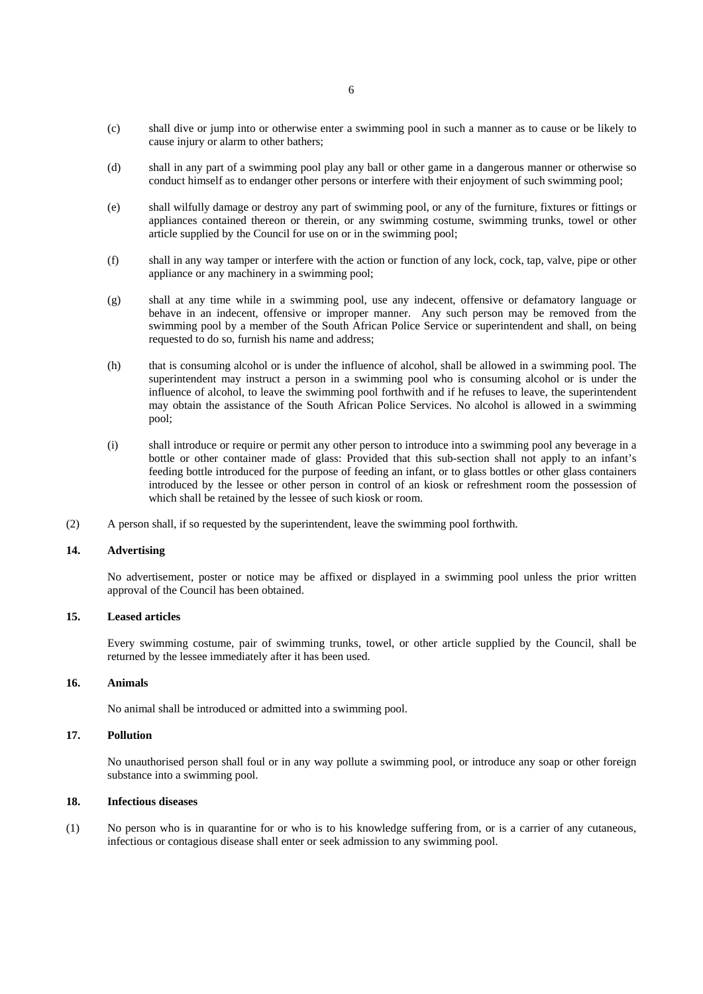- (c) shall dive or jump into or otherwise enter a swimming pool in such a manner as to cause or be likely to cause injury or alarm to other bathers;
- (d) shall in any part of a swimming pool play any ball or other game in a dangerous manner or otherwise so conduct himself as to endanger other persons or interfere with their enjoyment of such swimming pool;
- (e) shall wilfully damage or destroy any part of swimming pool, or any of the furniture, fixtures or fittings or appliances contained thereon or therein, or any swimming costume, swimming trunks, towel or other article supplied by the Council for use on or in the swimming pool;
- (f) shall in any way tamper or interfere with the action or function of any lock, cock, tap, valve, pipe or other appliance or any machinery in a swimming pool;
- (g) shall at any time while in a swimming pool, use any indecent, offensive or defamatory language or behave in an indecent, offensive or improper manner. Any such person may be removed from the swimming pool by a member of the South African Police Service or superintendent and shall, on being requested to do so, furnish his name and address;
- (h) that is consuming alcohol or is under the influence of alcohol, shall be allowed in a swimming pool. The superintendent may instruct a person in a swimming pool who is consuming alcohol or is under the influence of alcohol, to leave the swimming pool forthwith and if he refuses to leave, the superintendent may obtain the assistance of the South African Police Services. No alcohol is allowed in a swimming pool;
- (i) shall introduce or require or permit any other person to introduce into a swimming pool any beverage in a bottle or other container made of glass: Provided that this sub-section shall not apply to an infant's feeding bottle introduced for the purpose of feeding an infant, or to glass bottles or other glass containers introduced by the lessee or other person in control of an kiosk or refreshment room the possession of which shall be retained by the lessee of such kiosk or room.
- (2) A person shall, if so requested by the superintendent, leave the swimming pool forthwith.

#### **14. Advertising**

No advertisement, poster or notice may be affixed or displayed in a swimming pool unless the prior written approval of the Council has been obtained.

## **15. Leased articles**

 Every swimming costume, pair of swimming trunks, towel, or other article supplied by the Council, shall be returned by the lessee immediately after it has been used.

## **16. Animals**

No animal shall be introduced or admitted into a swimming pool.

## **17. Pollution**

 No unauthorised person shall foul or in any way pollute a swimming pool, or introduce any soap or other foreign substance into a swimming pool.

## **18. Infectious diseases**

(1) No person who is in quarantine for or who is to his knowledge suffering from, or is a carrier of any cutaneous, infectious or contagious disease shall enter or seek admission to any swimming pool.